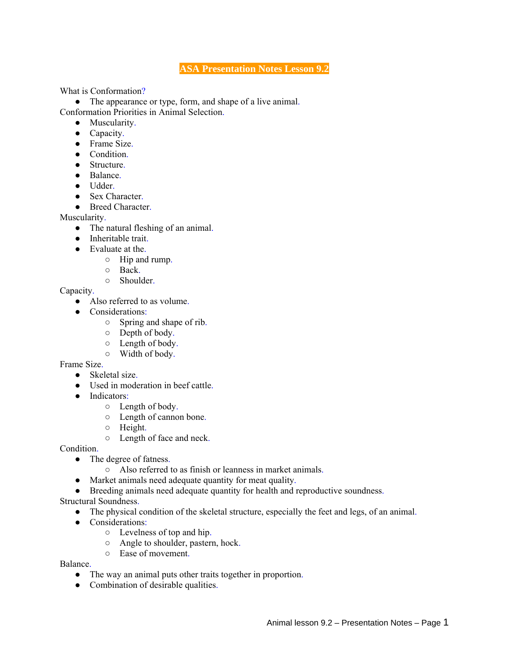## **ASA Presentation Notes Lesson 9.2**

What is Conformation?

• The appearance or type, form, and shape of a live animal. Conformation Priorities in Animal Selection.

- Muscularity.
- Capacity.
- Frame Size.
- Condition.
- Structure.
- Balance.
- Udder.
- Sex Character
- Breed Character.

Muscularity.

- The natural fleshing of an animal.
- Inheritable trait.
- Evaluate at the
	- Hip and rump.
	- Back.
		- Shoulder.

Capacity.

- Also referred to as volume.
- Considerations:
	- Spring and shape of rib.
	- Depth of body.
	- Length of body.
	- Width of body.

Frame Size.

- Skeletal size.
- Used in moderation in beef cattle.
- Indicators:
	- Length of body.
		- Length of cannon bone.
	- Height.
	- Length of face and neck.

Condition.

- The degree of fatness.
	- Also referred to as finish or leanness in market animals.
- Market animals need adequate quantity for meat quality.
- Breeding animals need adequate quantity for health and reproductive soundness.

Structural Soundness.

- The physical condition of the skeletal structure, especially the feet and legs, of an animal.
- Considerations:
	- Levelness of top and hip.
	- Angle to shoulder, pastern, hock.
	- Ease of movement.

Balance.

- The way an animal puts other traits together in proportion.
- Combination of desirable qualities.